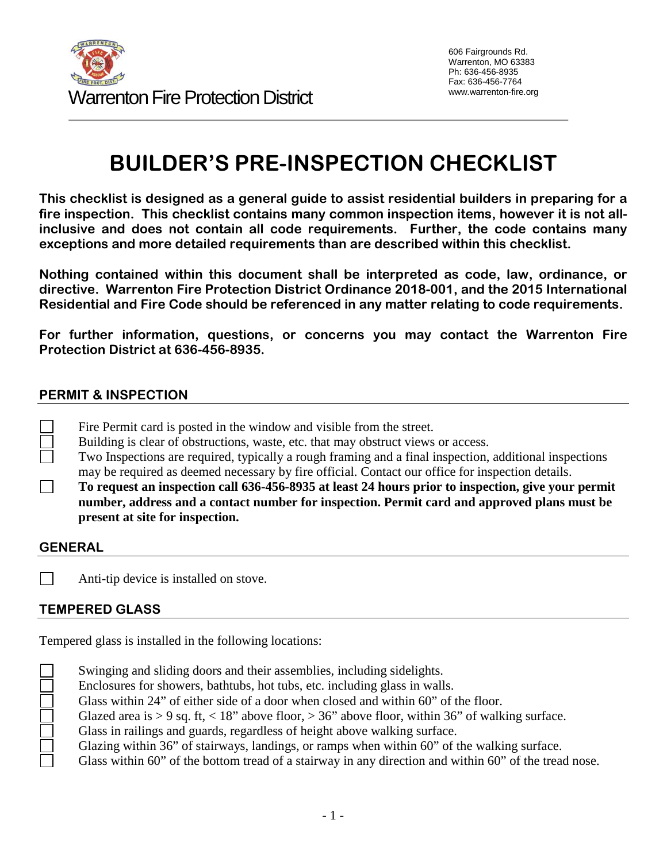

# **BUILDER'S PRE-INSPECTION CHECKLIST**

**This checklist is designed as a general guide to assist residential builders in preparing for a fire inspection. This checklist contains many common inspection items, however it is not allinclusive and does not contain all code requirements. Further, the code contains many exceptions and more detailed requirements than are described within this checklist.**

**Nothing contained within this document shall be interpreted as code, law, ordinance, or directive. Warrenton Fire Protection District Ordinance 2018-001, and the 2015 International Residential and Fire Code should be referenced in any matter relating to code requirements.**

**For further information, questions, or concerns you may contact the Warrenton Fire Protection District at 636-456-8935.**

#### **PERMIT & INSPECTION**

- Fire Permit card is posted in the window and visible from the street.
- Building is clear of obstructions, waste, etc. that may obstruct views or access.
- Two Inspections are required, typically a rough framing and a final inspection, additional inspections may be required as deemed necessary by fire official. Contact our office for inspection details.

**To request an inspection call 636-456-8935 at least 24 hours prior to inspection, give your permit number, address and a contact number for inspection. Permit card and approved plans must be present at site for inspection.** 

#### **GENERAL**

كالمالمالمالمال

 $\mathbf{I}$ Anti-tip device is installed on stove.

#### **TEMPERED GLASS**

Tempered glass is installed in the following locations:

| Swinging and sliding doors and their assemblies, including sidelights.                                |
|-------------------------------------------------------------------------------------------------------|
| Enclosures for showers, bathtubs, hot tubs, etc. including glass in walls.                            |
| Glass within 24" of either side of a door when closed and within 60" of the floor.                    |
| Glazed area is > 9 sq. ft, < 18" above floor, > 36" above floor, within 36" of walking surface.       |
| Glass in railings and guards, regardless of height above walking surface.                             |
| Glazing within 36" of stairways, landings, or ramps when within 60" of the walking surface.           |
| Glass within 60" of the bottom tread of a stairway in any direction and within 60" of the tread nose. |
|                                                                                                       |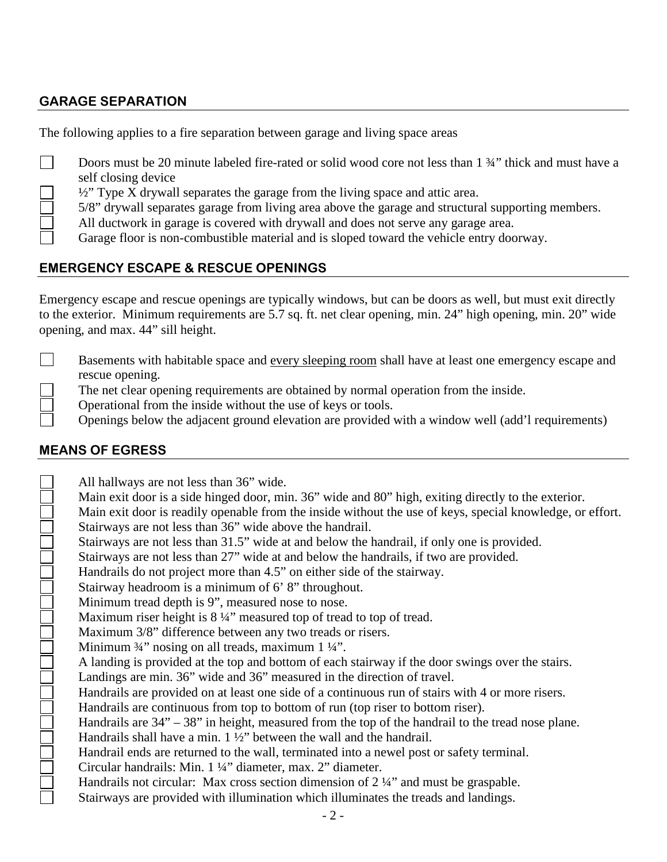## **GARAGE SEPARATION**

The following applies to a fire separation between garage and living space areas

- Doors must be 20 minute labeled fire-rated or solid wood core not less than 1  $\frac{3}{4}$ " thick and must have a  $\Box$ self closing device
	- $\frac{1}{2}$ " Type X drywall separates the garage from the living space and attic area.
	- 5/8" drywall separates garage from living area above the garage and structural supporting members.
	- All ductwork in garage is covered with drywall and does not serve any garage area.
	- Garage floor is non-combustible material and is sloped toward the vehicle entry doorway.

## **EMERGENCY ESCAPE & RESCUE OPENINGS**

Emergency escape and rescue openings are typically windows, but can be doors as well, but must exit directly to the exterior. Minimum requirements are 5.7 sq. ft. net clear opening, min. 24" high opening, min. 20" wide opening, and max. 44" sill height.

- $\mathbf{L}$ Basements with habitable space and every sleeping room shall have at least one emergency escape and rescue opening.
	- The net clear opening requirements are obtained by normal operation from the inside.
	- Operational from the inside without the use of keys or tools.
		- Openings below the adjacent ground elevation are provided with a window well (add'l requirements)

## **MEANS OF EGRESS**

DE L'INDENSION ANNEXEMBLE DE L'ANNEXE

All hallways are not less than 36" wide. Main exit door is a side hinged door, min. 36" wide and 80" high, exiting directly to the exterior. Main exit door is readily openable from the inside without the use of keys, special knowledge, or effort. Stairways are not less than 36" wide above the handrail. Stairways are not less than 31.5" wide at and below the handrail, if only one is provided. Stairways are not less than 27" wide at and below the handrails, if two are provided. Handrails do not project more than 4.5" on either side of the stairway. Stairway headroom is a minimum of 6' 8" throughout. Minimum tread depth is 9", measured nose to nose. Maximum riser height is  $8\frac{1}{4}$ " measured top of tread to top of tread. Maximum 3/8" difference between any two treads or risers. Minimum <sup>3</sup>/4" nosing on all treads, maximum 1 <sup>1</sup>/4". A landing is provided at the top and bottom of each stairway if the door swings over the stairs. Landings are min. 36" wide and 36" measured in the direction of travel. Handrails are provided on at least one side of a continuous run of stairs with 4 or more risers. Handrails are continuous from top to bottom of run (top riser to bottom riser). Handrails are 34" – 38" in height, measured from the top of the handrail to the tread nose plane. Handrails shall have a min. 1 ½" between the wall and the handrail. Handrail ends are returned to the wall, terminated into a newel post or safety terminal. Circular handrails: Min. 1 ¼" diameter, max. 2" diameter. Handrails not circular: Max cross section dimension of 2 ¼" and must be graspable. Stairways are provided with illumination which illuminates the treads and landings.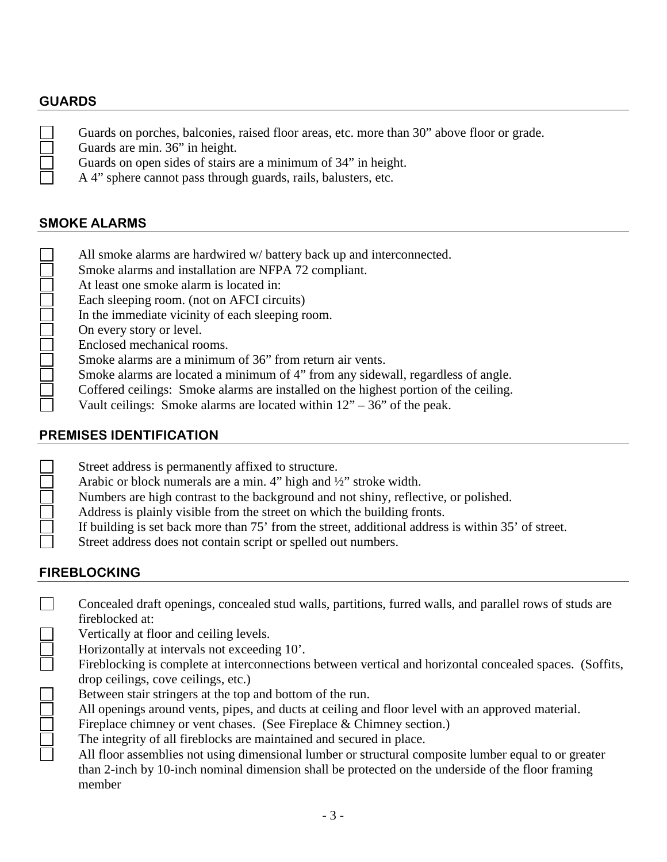## **GUARDS**

| $\mathcal{L}$ | Guards on porches, balconies, raised floor areas, etc. more than 30" above floor or grade. |
|---------------|--------------------------------------------------------------------------------------------|
|               | Guards are min. 36" in height.                                                             |
|               | Guards on open sides of stairs are a minimum of 34" in height.                             |
|               | A 4" sphere cannot pass through guards, rails, balusters, etc.                             |
|               |                                                                                            |

#### **SMOKE ALARMS**

- All smoke alarms are hardwired w/ battery back up and interconnected.
- Smoke alarms and installation are NFPA 72 compliant.
- At least one smoke alarm is located in:
- Each sleeping room. (not on AFCI circuits)
- In the immediate vicinity of each sleeping room.
- On every story or level.
- Enclosed mechanical rooms.
	- Smoke alarms are a minimum of 36" from return air vents.
- Smoke alarms are located a minimum of 4" from any sidewall, regardless of angle.
- Coffered ceilings: Smoke alarms are installed on the highest portion of the ceiling.
- Vault ceilings: Smoke alarms are located within  $12 36$ " of the peak.

## **PREMISES IDENTIFICATION**

| Street address is permanently affixed to structure.                                                |
|----------------------------------------------------------------------------------------------------|
| Arabic or block numerals are a min. 4" high and $\frac{1}{2}$ " stroke width.                      |
| Numbers are high contrast to the background and not shiny, reflective, or polished.                |
| Address is plainly visible from the street on which the building fronts.                           |
| If building is set back more than 75' from the street, additional address is within 35' of street. |
| Street address does not contain script or spelled out numbers.                                     |
|                                                                                                    |

## **FIREBLOCKING**

| Concealed draft openings, concealed stud walls, partitions, furred walls, and parallel rows of studs are                                                                                                                                                                                                                                               |
|--------------------------------------------------------------------------------------------------------------------------------------------------------------------------------------------------------------------------------------------------------------------------------------------------------------------------------------------------------|
| fireblocked at:                                                                                                                                                                                                                                                                                                                                        |
| Vertically at floor and ceiling levels.<br>$\mathbf{1}$ , $\mathbf{1}$ , $\mathbf{1}$ , $\mathbf{1}$ , $\mathbf{1}$ , $\mathbf{1}$ , $\mathbf{1}$ , $\mathbf{1}$ , $\mathbf{1}$ , $\mathbf{1}$ , $\mathbf{1}$ , $\mathbf{1}$ , $\mathbf{1}$ , $\mathbf{1}$ , $\mathbf{1}$ , $\mathbf{1}$ , $\mathbf{1}$ , $\mathbf{1}$ , $\mathbf{1}$ , $\mathbf{1}$ , |

- Horizontally at intervals not exceeding 10'.
- Fireblocking is complete at interconnections between vertical and horizontal concealed spaces. (Soffits, drop ceilings, cove ceilings, etc.)
- Between stair stringers at the top and bottom of the run.
- All openings around vents, pipes, and ducts at ceiling and floor level with an approved material.
- Fireplace chimney or vent chases. (See Fireplace & Chimney section.)
- The integrity of all fireblocks are maintained and secured in place.
	- All floor assemblies not using dimensional lumber or structural composite lumber equal to or greater than 2-inch by 10-inch nominal dimension shall be protected on the underside of the floor framing member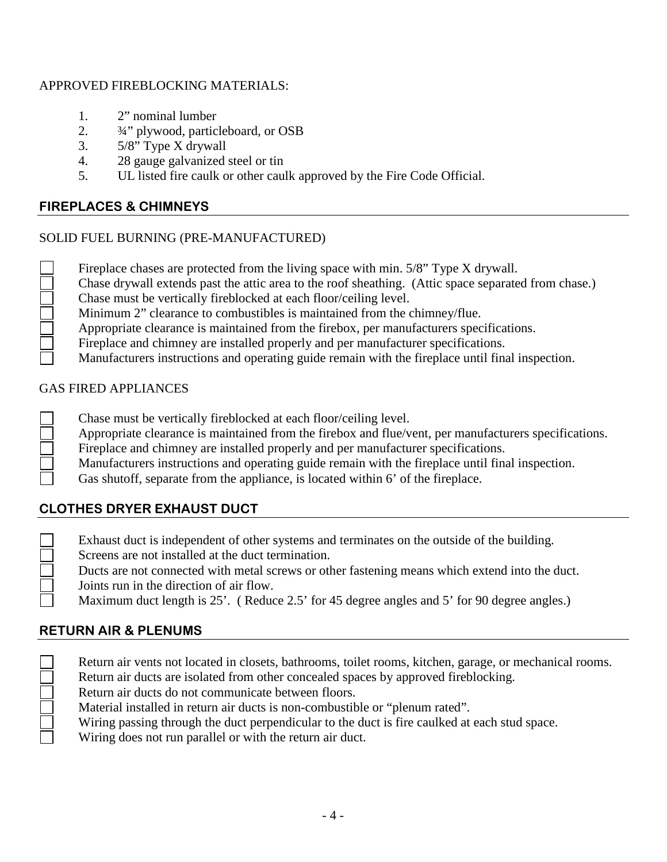#### APPROVED FIREBLOCKING MATERIALS:

- 1. 2" nominal lumber
- 2. ¾" plywood, particleboard, or OSB
- 3. 5/8" Type X drywall
- 4. 28 gauge galvanized steel or tin
- 5. UL listed fire caulk or other caulk approved by the Fire Code Official.

## **FIREPLACES & CHIMNEYS**

## SOLID FUEL BURNING (PRE-MANUFACTURED)

|  | Fireplace chases are protected from the living space with min. 5/8" Type X drywall. |
|--|-------------------------------------------------------------------------------------|
|  |                                                                                     |

- Chase drywall extends past the attic area to the roof sheathing. (Attic space separated from chase.)
- Chase must be vertically fireblocked at each floor/ceiling level.
- Minimum 2" clearance to combustibles is maintained from the chimney/flue.
- Appropriate clearance is maintained from the firebox, per manufacturers specifications.
- Fireplace and chimney are installed properly and per manufacturer specifications.
- Manufacturers instructions and operating guide remain with the fireplace until final inspection.

## GAS FIRED APPLIANCES

- Chase must be vertically fireblocked at each floor/ceiling level.
- Appropriate clearance is maintained from the firebox and flue/vent, per manufacturers specifications.
- Fireplace and chimney are installed properly and per manufacturer specifications.
- Manufacturers instructions and operating guide remain with the fireplace until final inspection.
- Gas shutoff, separate from the appliance, is located within 6' of the fireplace.

# **CLOTHES DRYER EXHAUST DUCT**

- Exhaust duct is independent of other systems and terminates on the outside of the building.
	- Screens are not installed at the duct termination.
	- Ducts are not connected with metal screws or other fastening means which extend into the duct. Joints run in the direction of air flow.
	- Maximum duct length is 25'. (Reduce 2.5' for 45 degree angles and 5' for 90 degree angles.)

# **RETURN AIR & PLENUMS**

- Return air vents not located in closets, bathrooms, toilet rooms, kitchen, garage, or mechanical rooms. Return air ducts are isolated from other concealed spaces by approved fireblocking.
- Return air ducts do not communicate between floors.
- Material installed in return air ducts is non-combustible or "plenum rated".
- Wiring passing through the duct perpendicular to the duct is fire caulked at each stud space.
- Wiring does not run parallel or with the return air duct.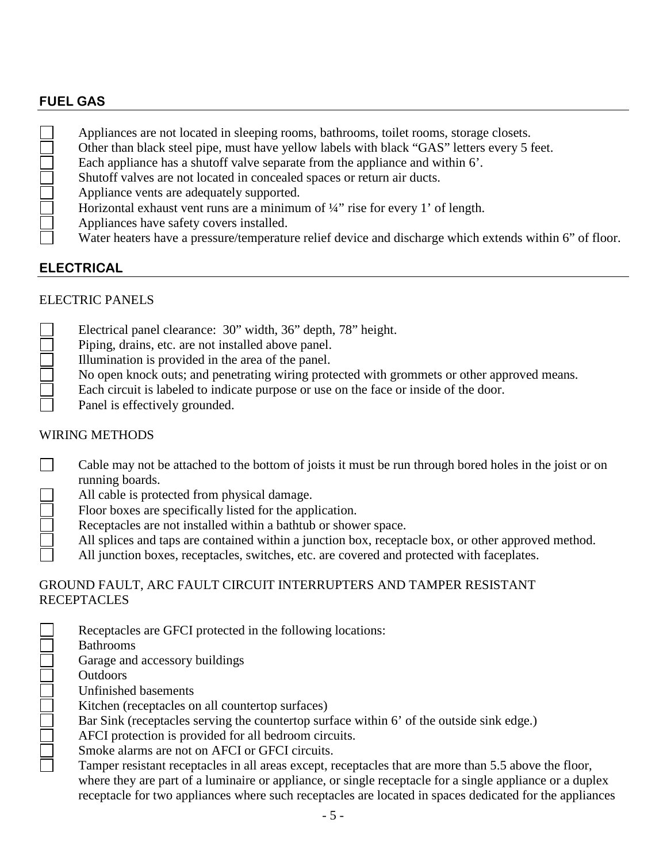## **FUEL GAS**

| Appliances are not located in sleeping rooms, bathrooms, toilet rooms, storage closets.                 |
|---------------------------------------------------------------------------------------------------------|
| Other than black steel pipe, must have yellow labels with black "GAS" letters every 5 feet.             |
| Each appliance has a shutoff valve separate from the appliance and within 6'.                           |
| Shutoff valves are not located in concealed spaces or return air ducts.                                 |
| Appliance vents are adequately supported.                                                               |
| Horizontal exhaust vent runs are a minimum of $\frac{1}{4}$ rise for every 1' of length.                |
| Appliances have safety covers installed.                                                                |
| Water heaters have a pressure/temperature relief device and discharge which extends within 6" of floor. |

## **ELECTRICAL**

## ELECTRIC PANELS

- Electrical panel clearance: 30" width, 36" depth, 78" height.
- Piping, drains, etc. are not installed above panel.
- Illumination is provided in the area of the panel.
- No open knock outs; and penetrating wiring protected with grommets or other approved means.
- Each circuit is labeled to indicate purpose or use on the face or inside of the door.

Panel is effectively grounded.

#### WIRING METHODS

- $\Box$ Cable may not be attached to the bottom of joists it must be run through bored holes in the joist or on running boards.
	- All cable is protected from physical damage.
	- Floor boxes are specifically listed for the application.
	- Receptacles are not installed within a bathtub or shower space.
		- All splices and taps are contained within a junction box, receptacle box, or other approved method.
		- All junction boxes, receptacles, switches, etc. are covered and protected with faceplates.

#### GROUND FAULT, ARC FAULT CIRCUIT INTERRUPTERS AND TAMPER RESISTANT RECEPTACLES

| Receptacles are GFCI protected in the following locations:                                            |
|-------------------------------------------------------------------------------------------------------|
| <b>Bathrooms</b>                                                                                      |
| Garage and accessory buildings                                                                        |
| <b>Outdoors</b>                                                                                       |
| Unfinished basements                                                                                  |
| Kitchen (receptacles on all countertop surfaces)                                                      |
| Bar Sink (receptacles serving the countertop surface within 6' of the outside sink edge.)             |
| AFCI protection is provided for all bedroom circuits.                                                 |
| Smoke alarms are not on AFCI or GFCI circuits.                                                        |
| Tamper resistant receptacles in all areas except, receptacles that are more than 5.5 above the floor, |
| where they are next of a luminaire or enpliance or gingle receptedly for a gingle enpliance or a dupl |

where they are part of a luminaire or appliance, or single receptacle for a single appliance or a duplex receptacle for two appliances where such receptacles are located in spaces dedicated for the appliances